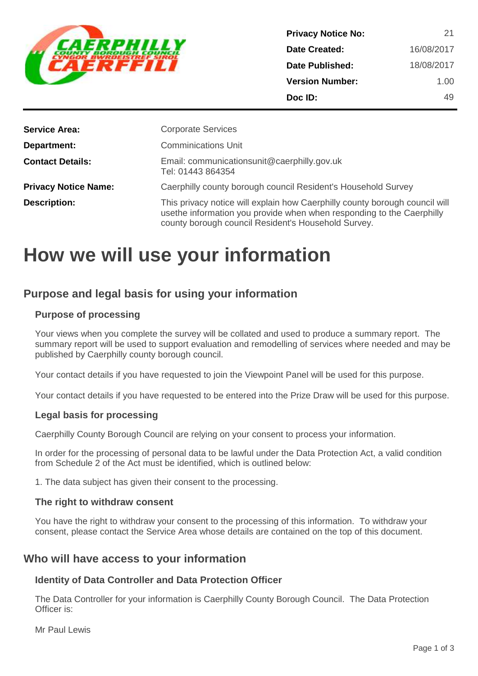

| 21         |
|------------|
| 16/08/2017 |
| 18/08/2017 |
| 1.00       |
| 49         |
|            |

| <b>Service Area:</b>        | <b>Corporate Services</b>                                                                                                                                                                                   |
|-----------------------------|-------------------------------------------------------------------------------------------------------------------------------------------------------------------------------------------------------------|
| Department:                 | <b>Comminications Unit</b>                                                                                                                                                                                  |
| <b>Contact Details:</b>     | Email: communicationsunit@caerphilly.gov.uk<br>Tel: 01443 864354                                                                                                                                            |
| <b>Privacy Notice Name:</b> | Caerphilly county borough council Resident's Household Survey                                                                                                                                               |
| <b>Description:</b>         | This privacy notice will explain how Caerphilly county borough council will<br>usethe information you provide when when responding to the Caerphilly<br>county borough council Resident's Household Survey. |

# **How we will use your information**

# **Purpose and legal basis for using your information**

# **Purpose of processing**

Your views when you complete the survey will be collated and used to produce a summary report. The summary report will be used to support evaluation and remodelling of services where needed and may be published by Caerphilly county borough council.

Your contact details if you have requested to join the Viewpoint Panel will be used for this purpose.

Your contact details if you have requested to be entered into the Prize Draw will be used for this purpose.

# **Legal basis for processing**

Caerphilly County Borough Council are relying on your consent to process your information.

In order for the processing of personal data to be lawful under the Data Protection Act, a valid condition from Schedule 2 of the Act must be identified, which is outlined below:

1. The data subject has given their consent to the processing.

#### **The right to withdraw consent**

You have the right to withdraw your consent to the processing of this information. To withdraw your consent, please contact the Service Area whose details are contained on the top of this document.

# **Who will have access to your information**

# **Identity of Data Controller and Data Protection Officer**

The Data Controller for your information is Caerphilly County Borough Council. The Data Protection Officer is:

Mr Paul Lewis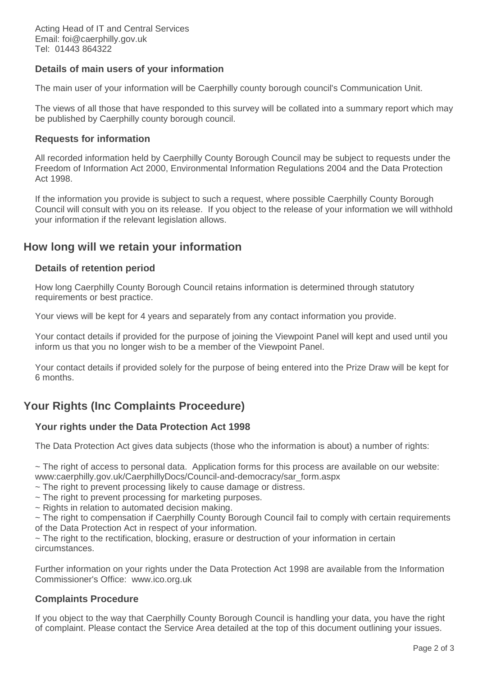# **Details of main users of your information**

The main user of your information will be Caerphilly county borough council's Communication Unit.

The views of all those that have responded to this survey will be collated into a summary report which may be published by Caerphilly county borough council.

#### **Requests for information**

All recorded information held by Caerphilly County Borough Council may be subject to requests under the Freedom of Information Act 2000, Environmental Information Regulations 2004 and the Data Protection Act 1998.

If the information you provide is subject to such a request, where possible Caerphilly County Borough Council will consult with you on its release. If you object to the release of your information we will withhold your information if the relevant legislation allows.

# **How long will we retain your information**

# **Details of retention period**

How long Caerphilly County Borough Council retains information is determined through statutory requirements or best practice.

Your views will be kept for 4 years and separately from any contact information you provide.

Your contact details if provided for the purpose of joining the Viewpoint Panel will kept and used until you inform us that you no longer wish to be a member of the Viewpoint Panel.

Your contact details if provided solely for the purpose of being entered into the Prize Draw will be kept for 6 months.

# **Your Rights (Inc Complaints Proceedure)**

# **Your rights under the Data Protection Act 1998**

The Data Protection Act gives data subjects (those who the information is about) a number of rights:

 $\sim$  The right of access to personal data. Application forms for this process are available on our website: www:caerphilly.gov.uk/CaerphillyDocs/Council-and-democracy/sar\_form.aspx

- ~ The right to prevent processing likely to cause damage or distress.
- ~ The right to prevent processing for marketing purposes.
- ~ Rights in relation to automated decision making.

~ The right to compensation if Caerphilly County Borough Council fail to comply with certain requirements of the Data Protection Act in respect of your information.

 $\sim$  The right to the rectification, blocking, erasure or destruction of your information in certain circumstances.

Further information on your rights under the Data Protection Act 1998 are available from the Information Commissioner's Office: www.ico.org.uk

# **Complaints Procedure**

If you object to the way that Caerphilly County Borough Council is handling your data, you have the right of complaint. Please contact the Service Area detailed at the top of this document outlining your issues.